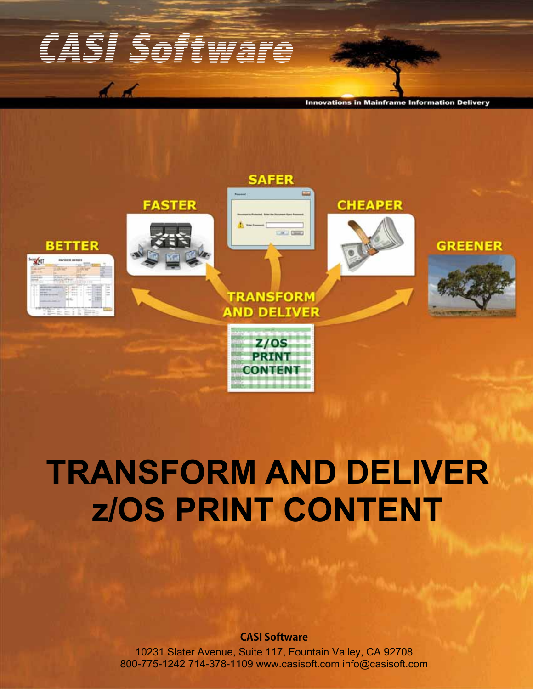# CASI Software

 $\overline{A}$ 

**Innovations in Mainframe Information Delivery** 



# **TRANSFORM AND DELIVER z/OS PRINT CONTENT**

### **CASI Software**

10231 Slater Avenue, Suite 117, Fountain Valley, CA 92708 800-775-1242 714-378-1109 www.casisoft.com info@casisoft.com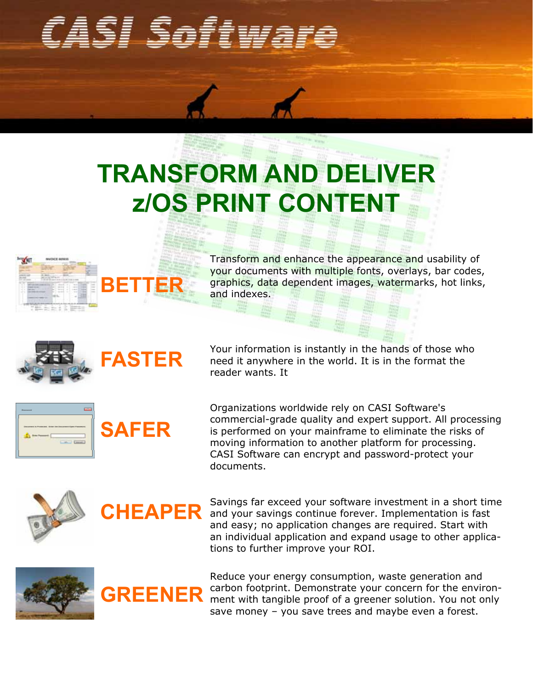# CASI Softwar

# **TRANSFORM AND DELIVER z/OS PRINT CONTENT**



Transform and enhance the appearance and usability of your documents with multiple fonts, overlays, bar codes, graphics, data dependent images, watermarks, hot links, and indexes.





**SAFER**

Your information is instantly in the hands of those who need it anywhere in the world. It is in the format the reader wants. It

Organizations worldwide rely on CASI Software's commercial-grade quality and expert support. All processing is performed on your mainframe to eliminate the risks of moving information to another platform for processing. CASI Software can encrypt and password-protect your documents.





Savings far exceed your software investment in a short time and your savings continue forever. Implementation is fast and easy; no application changes are required. Start with an individual application and expand usage to other applications to further improve your ROI.



**GREENER** Reduce your energy consumption, waste generation and carbon footprint. Demonstrate your concern for the environment with tangible proof of a greener solution. You not only save money – you save trees and maybe even a forest.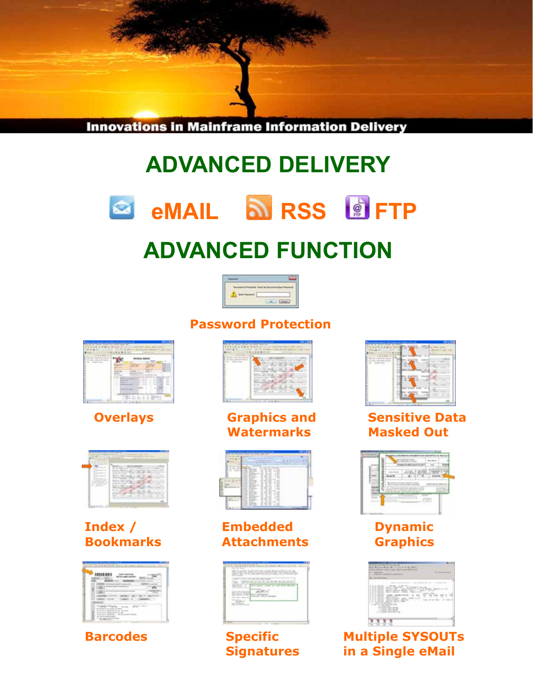

## **ADVANCED DELIVERY**





## **ADVANCED FUNCTION**



**Password Protection**





### **Index / Bookmarks**







**Overlays Graphics and Watermarks**



**Embedded Attachments**

| -- |  |
|----|--|
|    |  |

**Specific Signatures**



### **Sensitive Data Masked Out**



### **Dynamic Graphics**

| ╌<br>T<br>_<br>۳<br>__                         |   |
|------------------------------------------------|---|
| ---<br>51<br>$\alpha$<br>٠                     |   |
| ٠                                              | × |
| т                                              |   |
| Ŧ<br>3<br>$\sim$<br>-                          | ۰ |
| 75<br>r                                        |   |
| $\sim$<br>--                                   |   |
| and classific deaths developed<br>.<br>_______ |   |

**Multiple SYSOUTs in a Single eMail**